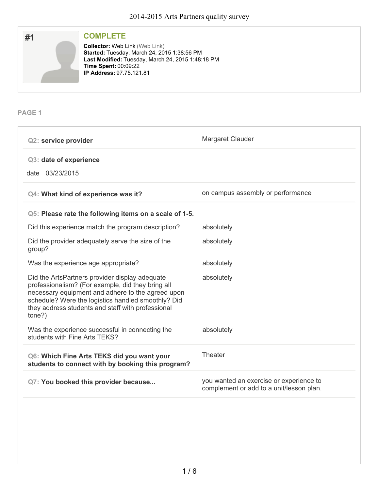

# **COMPLETE**

Collector: Web Link (Web Link) **Started:** Tuesday, March 24, 2015 1:38:56 PM **Last Modified: Tuesday, March 24, 2015 1:48:18 PM Time Spent:** 00:09:22 **IP Address:** 97.75.121.81

**PAGE 1**

| <b>Q2: service provider</b>                                                                                                                                                                                                                                                   | Margaret Clauder                                                                    |
|-------------------------------------------------------------------------------------------------------------------------------------------------------------------------------------------------------------------------------------------------------------------------------|-------------------------------------------------------------------------------------|
| Q3: date of experience<br>date 03/23/2015                                                                                                                                                                                                                                     |                                                                                     |
| Q4: What kind of experience was it?                                                                                                                                                                                                                                           | on campus assembly or performance                                                   |
| Q5: Please rate the following items on a scale of 1-5.                                                                                                                                                                                                                        |                                                                                     |
| Did this experience match the program description?                                                                                                                                                                                                                            | absolutely                                                                          |
| Did the provider adequately serve the size of the<br>group?                                                                                                                                                                                                                   | absolutely                                                                          |
| Was the experience age appropriate?                                                                                                                                                                                                                                           | absolutely                                                                          |
| Did the ArtsPartners provider display adequate<br>professionalism? (For example, did they bring all<br>necessary equipment and adhere to the agreed upon<br>schedule? Were the logistics handled smoothly? Did<br>they address students and staff with professional<br>tone?) | absolutely                                                                          |
| Was the experience successful in connecting the<br>students with Fine Arts TEKS?                                                                                                                                                                                              | absolutely                                                                          |
| Q6: Which Fine Arts TEKS did you want your<br>students to connect with by booking this program?                                                                                                                                                                               | Theater                                                                             |
| Q7: You booked this provider because                                                                                                                                                                                                                                          | you wanted an exercise or experience to<br>complement or add to a unit/lesson plan. |
|                                                                                                                                                                                                                                                                               |                                                                                     |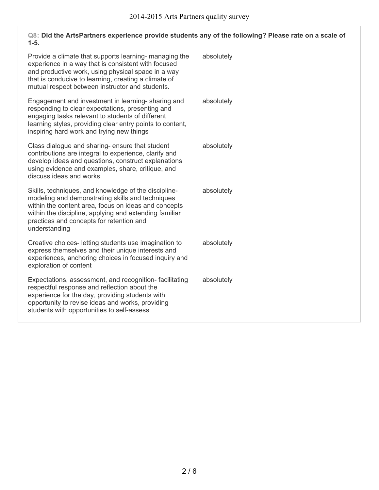### **Q8: Did the ArtsPartners experience provide students any of the following? Please rate on a scale of 1-5.**

| Provide a climate that supports learning- managing the<br>experience in a way that is consistent with focused<br>and productive work, using physical space in a way<br>that is conducive to learning, creating a climate of<br>mutual respect between instructor and students.          | absolutely |
|-----------------------------------------------------------------------------------------------------------------------------------------------------------------------------------------------------------------------------------------------------------------------------------------|------------|
| Engagement and investment in learning- sharing and<br>responding to clear expectations, presenting and<br>engaging tasks relevant to students of different<br>learning styles, providing clear entry points to content,<br>inspiring hard work and trying new things                    | absolutely |
| Class dialogue and sharing- ensure that student<br>contributions are integral to experience, clarify and<br>develop ideas and questions, construct explanations<br>using evidence and examples, share, critique, and<br>discuss ideas and works                                         | absolutely |
| Skills, techniques, and knowledge of the discipline-<br>modeling and demonstrating skills and techniques<br>within the content area, focus on ideas and concepts<br>within the discipline, applying and extending familiar<br>practices and concepts for retention and<br>understanding | absolutely |
| Creative choices- letting students use imagination to<br>express themselves and their unique interests and<br>experiences, anchoring choices in focused inquiry and<br>exploration of content                                                                                           | absolutely |
| Expectations, assessment, and recognition-facilitating<br>respectful response and reflection about the<br>experience for the day, providing students with<br>opportunity to revise ideas and works, providing<br>students with opportunities to self-assess                             | absolutely |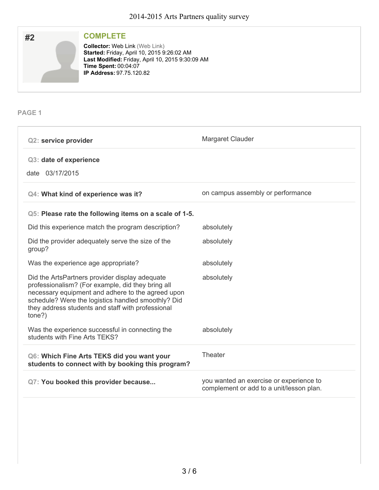

**PAGE 1**

| Margaret Clauder                                                                    |
|-------------------------------------------------------------------------------------|
|                                                                                     |
| on campus assembly or performance                                                   |
|                                                                                     |
| absolutely                                                                          |
| absolutely                                                                          |
| absolutely                                                                          |
| absolutely                                                                          |
| absolutely                                                                          |
| Theater                                                                             |
| you wanted an exercise or experience to<br>complement or add to a unit/lesson plan. |
|                                                                                     |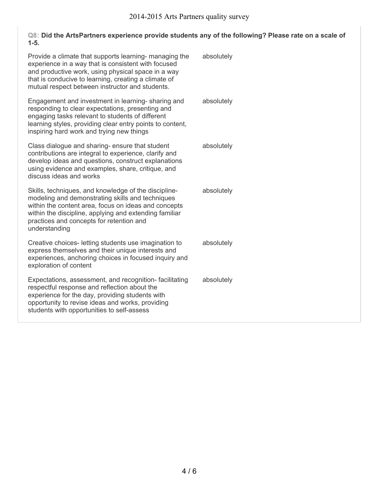### **Q8: Did the ArtsPartners experience provide students any of the following? Please rate on a scale of 1-5.**

| Provide a climate that supports learning- managing the<br>experience in a way that is consistent with focused<br>and productive work, using physical space in a way<br>that is conducive to learning, creating a climate of<br>mutual respect between instructor and students.          | absolutely |
|-----------------------------------------------------------------------------------------------------------------------------------------------------------------------------------------------------------------------------------------------------------------------------------------|------------|
| Engagement and investment in learning- sharing and<br>responding to clear expectations, presenting and<br>engaging tasks relevant to students of different<br>learning styles, providing clear entry points to content,<br>inspiring hard work and trying new things                    | absolutely |
| Class dialogue and sharing- ensure that student<br>contributions are integral to experience, clarify and<br>develop ideas and questions, construct explanations<br>using evidence and examples, share, critique, and<br>discuss ideas and works                                         | absolutely |
| Skills, techniques, and knowledge of the discipline-<br>modeling and demonstrating skills and techniques<br>within the content area, focus on ideas and concepts<br>within the discipline, applying and extending familiar<br>practices and concepts for retention and<br>understanding | absolutely |
| Creative choices- letting students use imagination to<br>express themselves and their unique interests and<br>experiences, anchoring choices in focused inquiry and<br>exploration of content                                                                                           | absolutely |
| Expectations, assessment, and recognition-facilitating<br>respectful response and reflection about the<br>experience for the day, providing students with<br>opportunity to revise ideas and works, providing<br>students with opportunities to self-assess                             | absolutely |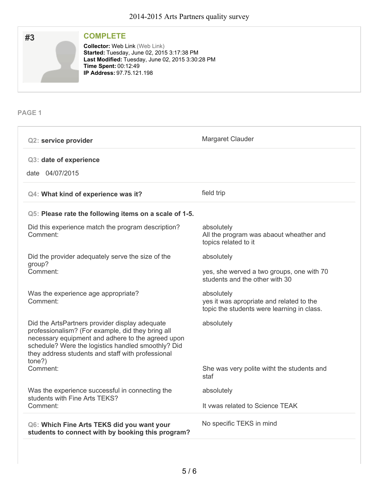

## **COMPLETE**

Collector: Web Link (Web Link) **Started:** Tuesday, June 02, 2015 3:17:38 PM **Last Modified:** Tuesday, June 02, 2015 3:30:28 PM **Time Spent:** 00:12:49 **IP Address:** 97.75.121.198

**PAGE 1**

| <b>Q2: service provider</b>                                                                                                                                                                                                                                                   | Margaret Clauder                                                                                     |
|-------------------------------------------------------------------------------------------------------------------------------------------------------------------------------------------------------------------------------------------------------------------------------|------------------------------------------------------------------------------------------------------|
| Q3: date of experience<br>date 04/07/2015                                                                                                                                                                                                                                     |                                                                                                      |
| Q4: What kind of experience was it?                                                                                                                                                                                                                                           | field trip                                                                                           |
| Q5: Please rate the following items on a scale of 1-5.                                                                                                                                                                                                                        |                                                                                                      |
| Did this experience match the program description?<br>Comment:                                                                                                                                                                                                                | absolutely<br>All the program was abaout wheather and<br>topics related to it                        |
| Did the provider adequately serve the size of the<br>group?                                                                                                                                                                                                                   | absolutely                                                                                           |
| Comment:                                                                                                                                                                                                                                                                      | yes, she werved a two groups, one with 70<br>students and the other with 30                          |
| Was the experience age appropriate?<br>Comment:                                                                                                                                                                                                                               | absolutely<br>yes it was apropriate and related to the<br>topic the students were learning in class. |
| Did the ArtsPartners provider display adequate<br>professionalism? (For example, did they bring all<br>necessary equipment and adhere to the agreed upon<br>schedule? Were the logistics handled smoothly? Did<br>they address students and staff with professional<br>tone?) | absolutely                                                                                           |
| Comment:                                                                                                                                                                                                                                                                      | She was very polite witht the students and<br>staf                                                   |
| Was the experience successful in connecting the<br>students with Fine Arts TEKS?                                                                                                                                                                                              | absolutely                                                                                           |
| Comment:                                                                                                                                                                                                                                                                      | It ywas related to Science TEAK                                                                      |
| Q6: Which Fine Arts TEKS did you want your<br>students to connect with by booking this program?                                                                                                                                                                               | No specific TEKS in mind                                                                             |